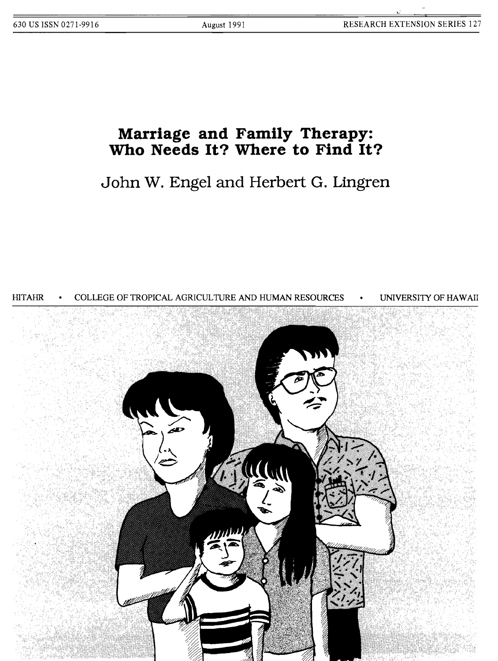# **Marriage and Family Therapy: Who Needs It? Where to Find It?**

**John W. Engel and Herbert G. Lingren**

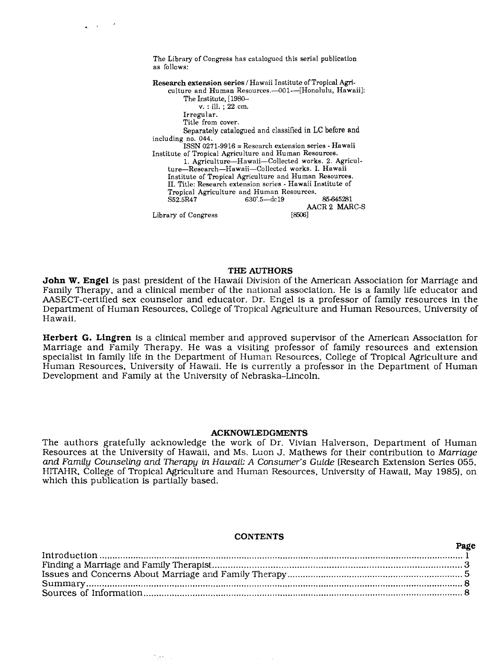The Library of Congress has catalogued this serial publication as follows:

 $\mathbf{r}$ 

85-645281 AACR 2 MARC-S<br>[8506] Library of Congress Research extension series / Hawaii Institute of Tropical Agriculture and Human Resources.-001--[Honolulu, Hawaii]: The Institute, [1980 v. : ill. ; 22 em. Irregular. Title from cover. Separately catalogued and classified in LC before and including no. 044. ISSN 0271-9916 = Research extension series - Hawaii Institute of Tropical Agriculture and Human Resources. 1. Agriculture-Hawaii-Colleeted works. 2. Agriculture-Research-Hawaii-Collected works. I. Hawaii Institute of Tropical Agriculture and Human Resources. II. Title: Research extension series - Hawaii Institute of Tropical Agriculture and Human Resources. 630'.5-dc19

#### THE AUTHORS

**John W. Engel** is past president of the Hawaii Division of the American Association for Marriage and Family Therapy. and a clinical member of the national association. He is a family life educator and AASECT-certified sex counselor and educator. Dr. Engel is a professor of family resources in the Department of Human Resources. College of Tropical Agriculture and Human Resources. University of Hawaii.

**Herbert G. Lingren** is a clinical member and approved supervisor of the American Association for Marriage and Family Therapy. He was a visiting professor of family resources and extension specialist in family life in the Department of Human Resources. College of Tropical Agriculture and Human Resources. University of Hawaii. He is currently a professor in the Department of Human Development and Family at the University of Nebraska-Lincoln.

#### **ACKNOWLEDGMENTS**

The authors gratefully acknowledge the work of Dr. Vivian Halverson. Department of Human Resources at the University of Hawaii. and Ms. Luon J. Mathews for their contribution to Marriage and Family Counseling and Therapy in Hawaii: A Consumer's Guide (Research Extension Series 055. HITAHR, College of Tropical Agriculture and Human Resources. University of Hawaii. May 1985), on which this publication is partially based.

#### **CONTENTS**

**Page**

| rayc |  |
|------|--|
|      |  |
|      |  |
|      |  |
|      |  |
|      |  |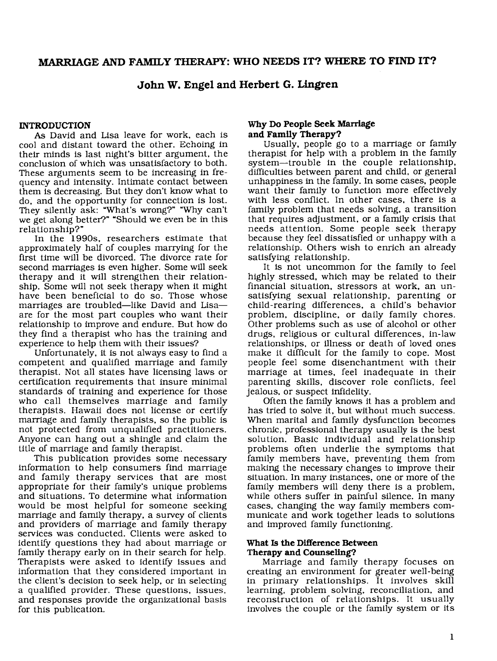**John W. Engel and Herbert G. Lingren**

# **INTRODUCTION**

As David and Lisa leave for work, each is cool and distant toward the other. Echoing in their minds is last night's bitter argument, the conclusion of which was unsatisfactory to both. These arguments seem to be increasing in frequency and intensity. Intimate contact between them is decreasing. But they don't know what to do, and the opportunity for connection is lost. They silently ask: "What's wrong?" "Why can't we get along better?" "Should we even be in this relationship?"

In the 1990s, researchers estimate that approximately half of couples marrying for the first time will be divorced. The divorce rate for second marriages is even higher. Some will seek therapy and it will strengthen their relationship. Some will not seek therapy when it might have been beneficial to do so. Those whose marriages are troubled-like David and Lisaare for the most part couples who want their relationship to improve and endure. But how do they find a therapist who has the training and experience to help them with their issues?

Unfortunately, it is not always easy to find a competent and qualified marriage and family therapist. Not all states have licensing laws or certification requirements that insure minimal standards of training and experience for those who call themselves marriage and family therapists. Hawaii does not license or certify marriage and family therapists, so the public is not protected from unqualified practitioners. Anyone can hang out a shingle and claim the title of marriage and family therapist.

This publication provides some necessary information to help consumers find marriage and family therapy services that are most appropriate for their family's unique problems and situations. To determine what information would be most helpful for someone seeking marriage and family therapy, a survey of clients and providers of marriage and family therapy services was conducted. Clients were asked to identify questions they had about marriage or family therapy early on in their search for help. Therapists were asked to identify issues and information that they considered important in the client's decision to seek help, or in selecting a qualified provider. These questions, issues, and responses provide the organizational basis for this publication.

# **Why Do People Seek Marriage and Family Therapy?**

Usually, people go to a marriage or family therapist for help with a problem in the family system-trouble in the couple relationship, difficulties between parent and child, or general unhappiness in the family. In some cases, people want their family to function more effectively with less conflict. In other cases, there is a family problem that needs solving, a transition that requires adjustment, or a family crisis that needs attention. Some people seek therapy because they feel dissatisfied or unhappy with a relationship. Others wish to enrich an already satisfying relationship.

It is not uncommon for the family to feel highly stressed, which may be related to their financial situation, stressors at work, an unsatisfying sexual relationship, parenting or child-rearing differences, a child's behavior problem, discipline, or daily family chores. Other problems such as use of alcohol or other drugs, religious or cultural differences, in-law relationships, or illness or death of loved ones make it difficult for the family to cope. Most people feel some disenchantment with their marriage at times, feel inadequate in their parenting skills, discover role conflicts, feel jealous, or suspect infidelity.

Often the family knows it has a problem and has tried to solve it, but without much success. When marital and family dysfunction becomes chronic, profeSSional therapy usually is the best solution. Basic individual and relationship problems often underlie the symptoms that family members have, preventing them from making the necessary changes to improve their situation. In many instances, one or more of the family members will deny there is a problem, while others suffer in painful silence. In many cases, changing the way family members communicate and work together leads to solutions and improved family functioning.

## **What Is the Difference Between Therapy and Counseling?**

Marriage and family therapy focuses on creating an environment for greater well-being in primary relationships. It involves skill learning, problem solving, reconciliation, and reconstruction of relationships. It usually involves the couple or the family system or its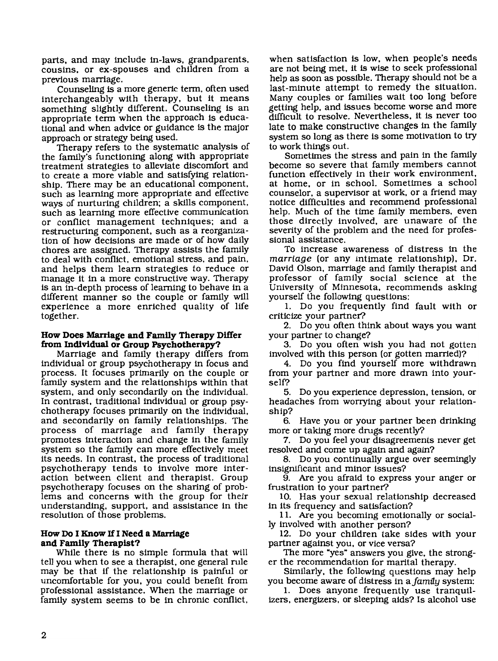parts, and may include in-laws, grandparents, cousins, or ex-spouses and children from a previous marriage.

Counseling is a more generic term, often used interchangeably with therapy, but it means something slightly different. Counseling is an appropriate term when the approach is educational and when advice or guidance is the major approach or strategy being used.

Therapy refers to the systematic analysis of the family's functioning along with appropriate treatment strategies to alleviate discomfort and to create a more viable and satisfying relationship. There may be an educational component, such as learning more appropriate and effective ways of nurturing children; a skills component, such as learning more effective communication or conflict management techniques; and a restructuring component, such as a reorganization of how decisions are made or of how daily chores are aSSigned. Therapy assists the family to deal with conflict, emotional stress, and pain, and helps them learn strategies to reduce or manage it in a more constructive way. Therapy is an in-depth process of learning to behave in a different manner so the couple or family will experience a more enriched quality of life together.

# **How Does Marriage and Family Therapy Differ from Individual or Group Psychotherapy?**

Marriage and family therapy differs from individual or group psychotherapy in focus and process. It focuses primarily on the couple or family system and the relationships within that system, and only secondarily on the individual. In contrast, traditional individual or group psychotherapy focuses primarily on the individual, and secondarily on family relationships. The process of marriage and family therapy promotes interaction and change in the family system so the family can more effectively meet its needs. In contrast, the process of traditional psychotherapy tends to involve more interaction between client and therapist. Group psychotherapy focuses on the sharing of problems and concerns with the group for their understanding, support, and assistance in the resolution of those problems.

# **How Do I Know IfI Need a Marriage and Family Therapist?**

While there is no simple formula that will tell you when to see a therapist, one general rule may be that if the relationship is painful or uncomfortable for you, you could benefit from professional assistance. When the marriage or family system seems to be in chronic conflict. when satisfaction is low, when people's needs are not being met, it is wise to seek professional help as soon as possible. Therapy should not be a last-minute attempt to remedy the situation. Many couples or families wait too long before getting help, and issues become worse and more difficult to resolve. Nevertheless, it is never too late to make constructive changes in the family system so long as there is some motivation to try to work things out.

Sometimes the stress and pain in the family become so severe that family members cannot function effectively in their work environment, at home, or in school. Sometimes a school counselor, a supervisor at work, or a friend may notice difficulties and recommend professional help. Much of the time family members, even those directly involved, are unaware of the severity of the problem and the need for professional assistance.

To increase awareness of distress in the *marriage* (or any intimate relationship), Dr. David Olson, marriage and family therapist and professor of family social science at the University of Minnesota, recommends asking yourself the following questions:

1. Do you frequently find fault with or criticize your partner?

2. Do you often think about ways you want your partner to change?

3. Do you often wish you had not gotten involved with this person (or gotten married)?

4. Do you find yourself more withdrawn from your partner and more drawn into yourself?

5. Do you experience depression, tension, or headaches from worrying about your relationship?

6. Have you or your partner been drinking more or taking more drugs recently?

7. Do you feel your disagreements never get resolved and come up again and again?

8. Do you continually argue over seemingly insignificant and minor issues?

9. Are you afraid to express your anger or frustration to your partner?

10. Has your sexual relationship decreased in its frequency and satisfaction?

11. Are you becoming emotionally or socially involved with another person?

12. Do your children take sides with your partner against you, or vice versa?

The more "yes" answers you give, the stronger the recommendation for marital therapy.

Similarly, the following questions may help you become aware of distress in *afamuy* system:

1. Does anyone frequently use tranquilizers, energizers, or sleeping aids? Is alcohol use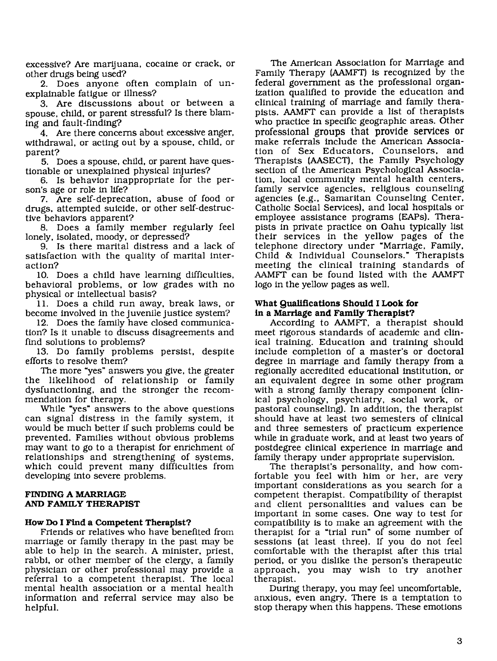excessive? Are marijuana, cocaine or crack, or other drugs being used?

2. Does anyone often complain of unexplainable fatigue or illness?

3. Are discussions about or between a spouse, child. or parent stressful? Is there blaming and fault-finding?

4. Are there concerns about excessive anger, withdrawal, or acting out by a spouse, child, or parent?

5. Does a spouse, child, or parent have questionable or unexplained physical injuries?

6. Is behavior inappropriate for the person's age or role in life?

7. Are self-deprecation, abuse of food or drugs, attempted suicide, or other self-destructive behaviors apparent?

8. Does a family member regularly feel lonely, isolated, moody, or depressed?

9. Is there marital distress and a lack of satisfaction with the quality of marital interaction?

10. Does a child have learning difficulties, behavioral problems, or low grades with no physical or intellectual basis?

11. Does a child run away. break laws, or become involved in the juvenile justice system?

12. Does the family have closed communication? Is it unable to discuss disagreements and find solutions to problems?

13. Do family problems persist, despite efforts to resolve them?

The more "yes" answers you give, the greater the likelihood of relationship or family dysfunctioning. and the stronger the recommendation for therapy.

While "yes" answers to the above questions can signal distress in the family system, it would be much better if such problems could be prevented. Families without obvious problems may want to go to a therapist for enrichment of relationships and strengthening of systems. which could prevent many difficulties from developing into severe problems.

# **FINDING A MARRIAGE** AND **FAMILY THERAPIST**

# **How Do I Find a Competent Therapist?**

Friends or relatives who have benefited from marriage or family therapy in the past may be able to help in the search. A minister, priest, rabbi, or other member of the clergy, a family physician or other professional may provide a referral to a competent therapist. The local mental health association or a mental health information and referral service may also be helpful.

The American Association for Marriage and Family Therapy (AAMFT) is recognized by the federal government as the professional organization qualified to provide the education and clinical training of marriage and family therapists. AAMFT can provide a list of therapists who practice in specific geographic areas. Other professional groups that provide services **or** make referrals include the American Association of Sex Educators, Counselors. and Therapists (AASECT), the Family Psychology section of the American Psychological Association, local community mental health centers, family service agencies. religious counseling agencies (e.g., Samaritan Counseling Center, Catholic Social Services), and local hospitals or employee assistance programs (EAPs). Therapists in private practice on Oahu typically list their services in the yellow pages of the telephone directory under "Marriage, Family, Child & Individual Counselors." Therapists meeting the clinical training standards of AAMFT can be found listed with the AAMFT logo in the yellow pages as well.

# **What Qualifications Should I Look for** in **a Marriage and Family Therapist?**

According to AAMFT, a therapist should meet rigorous standards of academic and clinical training. Education and training should include completion of a master's or doctoral degree in marriage and family therapy from a regionally accredited educational institution, or an equivalent degree in some other program with a strong family therapy component (clinical psychology, psychiatry, social work, or pastoral counseling). In addition, the therapist should have at least two semesters of clinical and three semesters of practicum experience while in graduate work, and at least two years of postdegree clinical experience in marriage and family therapy under appropriate supervision.

The therapist's personality, and how comfortable you feel with him or her, are very important considerations as you search for a competent therapist. Compatibility of therapist and client personalities and values can be important in some cases. One way to test for compatibility is to make an agreement with the therapist for a "trial run" of some number of sessions (at least three). If you do not feel comfortable with the therapist after this trial period, or you dislike the person's therapeutic approach. you may wish to try another therapist.

During therapy, you may feel uncomfortable, anxious, even angry. There is a temptation to stop therapy when this happens. These emotions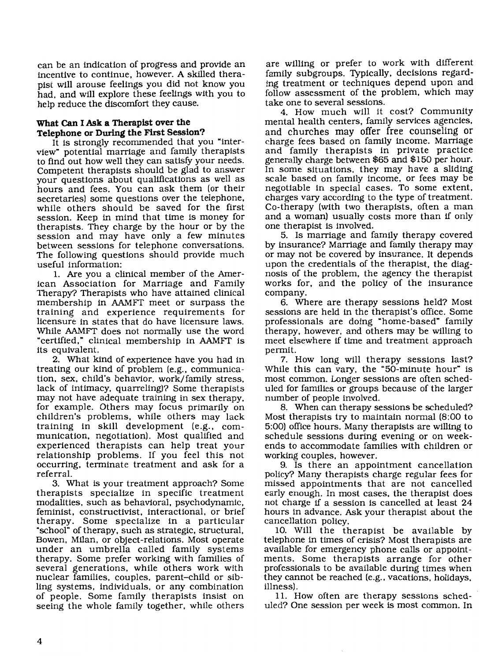can be an indication of progress and provide an incentive to continue, however. A skilled therapist will arouse feelings you did not know you had. and will explore these feelings with you to help reduce the discomfort they cause.

# **What can I Ask a Therapist over the Telephone or During the First Session?**

It is strongly recommended that you "interview" potential marriage and family therapists to find out how well they can satisfy your needs. Competent therapists should be glad to answer your questions about qualifications as well as hours and fees. You can ask them (or their secretaries) some questions over the telephone, while others should be saved for the first session. Keep in mind that time is money for therapists. They charge by the hour or by the session and may have only a few minutes between sessions for telephone conversations. The following questions should provide much useful information:

1. Are you a clinical member of the American Association for Marriage and Family Therapy? Therapists who have attained clinical membership in AAMFT meet or surpass the training and experience requirements for licensure in states that do have licensure laws. While AAMFT does not normally use the word "certified," clinical membership in AAMFT is its equivalent.

2. What kind of experience have you had in treating our kind of problem (e.g.. communication. sex, child's behavior. work/family stress. lack of intimacy, quarreling)? Some therapists may not have adequate training in sex therapy. for example. Others may focus primarily on children's problems, while others may lack training in skill development (e.g., communication, negotiation). Most qualified and experienced therapists can help treat your relationship problems. If you feel this not occurring, terminate treatment and ask for a referral.

3. What is your treatment approach? Some therapists specialize in specific treatment modalities. such as behavioral. psychodynamic. feminist, constructivist. interactional. or brief therapy. Some specialize in a particular "school" of therapy, such as strategic. structural. Bowen, Milan, or object-relations. Most operate under an umbrella called family systems therapy. Some prefer working with families of several generations, while others work with nuclear families, couples. parent-child or sibling systems, individuals. or any combination of people. Some family therapists insist on seeing the whole family together. while others

are willing or prefer to work with different family subgroups. Typically, decisions regarding treatment or techniques depend upon and follow assessment of the problem. which may take one to several sessions.

4. How much will it cost? Community mental health centers, family services agencies, and churches may offer free counseling or charge fees based on family income. Marriage and family therapists in private practice generally charge between \$65 and \$150 per hour. In some situations. they may have a sliding scale based on family income, or fees may be negotiable in special cases. To some extent, charges vary according to the type of treatment. Co-therapy (with two therapists, often a man and a woman) usually costs more than if only one therapist is involved.

5. Is marriage and family therapy covered by insurance? Marriage and family therapy may or may not be covered by insurance. It depends upon the credentials of the therapist, the diagnosis of the problem, the agency the therapist works for. and the policy of the insurance company.

6. Where are therapy sessions held? Most sessions are held in the therapist's office. Some professionals are doing "home-based" family therapy, however, and others may be willing to meet elsewhere if time and treatment approach permit.

7. How long will therapy sessions last? While this can vary. the "50-minute hour" is most common. Longer sessions are often scheduled for families or groups because of the larger number of people involved.

8. When can therapy sessions be scheduled? Most therapists try to maintain normal (8:00 to 5:00) office hours. Many therapists are willing to schedule sessions dUring evening or on weekends to accommodate families with children or working couples. however.

9. Is there an appointment cancellation policy? Many therapists charge regular fees for missed appointments that are not cancelled early enough. In most cases. the therapist does not charge if a session is cancelled at least 24 hours in advance. Ask your therapist about the cancellation policy.

10. Will the therapist be available by telephone in times of crisis? Most therapists are available for emergency phone calls or appointments. Some therapists arrange for other professionals to be available during times when they cannot be reached (e.g.. vacations, holidays. illness).

11. How often are therapy sessions scheduled? One session per week is most common. In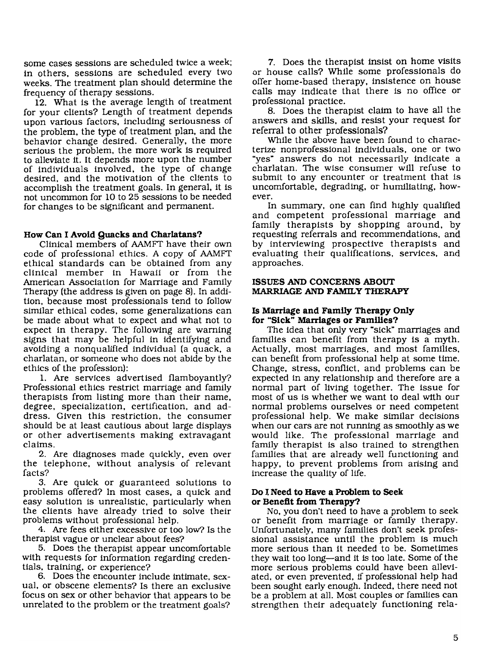some cases sessions are scheduled twice a week; in others. sessions are scheduled every two weeks. The treatment plan should determine the frequency of therapy sessions.

12. What is the average length of treatment for your clients? Length of treatment depends upon various factors. including seriousness of the problem. the type of treatment plan. and the behavior change desired. Generally. the more serious the problem. the more work is required to alleviate it. It depends more upon the number of individuals involved. the type of change desired. and the motivation of the clients to accomplish the treatment goals. In general, it is not uncommon for 10 to 25 sessions to be needed for changes to be significant and permanent.

## **How Can I Avoid Quacks and Charlatans?**

Clinical members of AAMFT have their own code of professional ethics. A copy of AAMFT ethical standards can be obtained from any clinical member in Hawaii or from the American Association for Marriage and Family Therapy (the address is given on page 8). In addition. because most professionals tend to follow similar ethical codes. some generalizations can be made about what to expect and what not to expect in therapy. The following are warning signs that may be helpful in identifying and avoiding a nonqualified individual (a quack. a charlatan. or someone who does not abide by the ethics of the profession):

1. Are services advertised flamboyantly? Professional ethics restrict marriage and family therapists from listing more than their name. degree. specialization. certification. and address. Given this restriction. the consumer should be at least cautious about large displays or other advertisements making extravagant claims.

2. Are diagnoses made quickly, even over the telephone. without analysis of relevant facts?

3. Are qUick or guaranteed solutions to problems offered? In most cases, a quick and easy solution is unrealistic. particularly when the clients have already tried to solve their problems without professional help.

4. Are fees either excessive or too low? Is the therapist vague or unclear about fees?

5. Does the therapist appear uncomfortable with requests for information regarding credentials. training. or experience?

6. Does the encounter include intimate. sexual. or obscene elements? Is there an exclusive focus on sex or other behavior that appears to be unrelated to the problem or the treatment goals?

7. Does the therapist insist on home visits or house calls? While some professionals do offer home-based therapy. insistence on house calls may indicate that there is no office or professional practice.

8. Does the therapist claim to have all the answers and skills. and resist your request for referral to other professionals?

While the above have been found to characterize nonprofessional individuals. one or two "yes" answers do not necessarily indicate a charlatan. The wise consumer will refuse to submit to any encounter or treatment that is uncomfortable, degrading, or humiliating, however.

In summary. one can find highly qualified and competent professional marriage and family therapists by shopping around. by requesting referrals and recommendations. and by interviewing prospective therapists and evaluating their qualifications. services. and approaches.

# **ISSUES AND CONCERNS ABOUT MARRIAGE AND FAMILY THERAPY**

### **Is Marriage and Family Therapy Only for "Sick" Marriages or Families?**

The idea that only very "sick" marriages and families can benefit from therapy is a myth. Actually. most marriages. and most families. can benefit from professional help at some time. Change. stress. conflict, and problems can be expected in any relationship and therefore are a normal part of liVing together. The issue for most of us is whether we want to deal with our normal problems ourselves or need competent professional help. We make similar decisions when our cars are not running as smoothly as we would like. The professional marriage and family therapist is also trained to strengthen families that are already well functioning and happy. to prevent problems from arising and increase the quality of life.

## **Do 1. Need to Have a Problem to seek or Benefit from Therapy?**

No. you don't need to have a problem to seek or benefit from marriage or family therapy. Unfortunately. many families don't seek professional assistance until the problem is much more serious than it needed to be. Sometimes they wait too long—and it is too late. Some of the more serious problems could have been alleviated. or even prevented. if professional help had been sought early enough. Indeed. there need not be a problem at all. Most couples or families can strengthen their adequately functioning rela-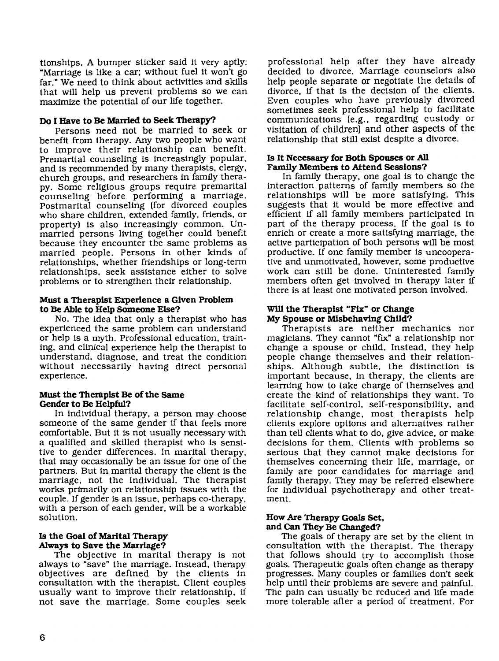tionships. A bumper sticker said it very aptly: "Marriage is like a car; without fuel it won't go far." We need to think about activities and skills that will help us prevent problems so we can maximize the potential of our life together.

# Do **I Have to Be Married to seek Therapy?**

Persons need not be married to seek or benefit from therapy. Any two people who want to improve their relationship can benefit. Premarital counseling is increasingly popular, and is recommended by many therapists, clergy, church groups, and researchers in family therapy. Some religious groups require premarital counseling before performing a marriage. Postmarital counseling (for divorced couples who share children, extended family, friends, or property) is also increasingly common. Unmarried persons liVing together could benefit because they encounter the same problems as married people. Persons in other kinds of relationships, whether friendships or long-term relationships, seek assistance either to solve problems or to strengthen their relationship.

# **Must a Therapist Experience a Given Problem** to **Be Able to Help Someone Else?**

No. The idea that only a therapist who has experienced the same problem can understand or help is a myth. ProfeSSional education, training, and clinical experience help the therapist to understand, diagnose, and treat the condition without necessarily having direct personal experience.

## **Must** the Therapist Be of the Same **Gender to Be Helpful?**

In individual therapy, a person may choose someone of the same gender if that feels more comfortable. But it is not usually necessary with a qualified and skilled therapist who is sensitive to gender differences. In marital therapy, that may occasionally be an issue for one of the partners. But in marital therapy the client is the marriage, not the individual. The therapist works primarily on relationship issues with the couple. If gender is an issue, perhaps co-therapy, with a person of each gender. will be a workable solution.

# **Is the Goal of Marital Therapy Always to Save the Marriage?**

The objective in marital therapy is not always to "save" the marriage. Instead, therapy objectives are defined by the clients in consultation with the therapist. Client couples usually want to improve their relationship, if not save the marriage. Some couples seek

professional help after they have already decided to divorce. Marriage counselors also help people separate or negotiate the details of divorce, if that is the decision of the clients. Even couples who have previously divorced sometimes seek professional help to facilitate communications (e.g., regarding custody or visitation of children) and other aspects of the relationship that still exist despite a divorce.

# Is **It Necessary for Both Spouses or .All Family Members to Attend Sessions?**

In family therapy, one goal is to change the interaction patterns of family members so the relationships will be more satisfying. This suggests that it would be more effective and efficient if all family members participated in part of the therapy process. If the goal is to enrich or create a more satisfying marriage, the active participation of both persons will be most productive. If one family member is uncooperative and unmotivated, however, some productive work can still be done. Uninterested family members often get involved in therapy later if there is at least one motivated person involved.

# **Wlll the Therapist** "Fix" **or Change My Spouse or Misbehaving Child?**

Therapists are neither mechanics nor magicians. They cannot "fix" a relationship nor change a spouse or child. Instead, they help people change themselves and their relationships. Although subtle, the distinction is important because, in therapy, the clients are learning how to take charge of themselves and create the kind of relationships they want. To facilitate self-control, self-responsibility, and relationship change, most therapists help clients explore options and alternatives rather than tell clients what to do, give advice, or make decisions for them. Clients with problems so serious that they cannot make decisions for themselves concerning their life, marriage, or family are poor candidates for marriage and family therapy. They may be referred elsewhere for individual psychotherapy and other treatment.

# **How Are Therapy Goals Set, and Can They Be Changed?**

The goals of therapy are set by the client in consultation with the therapist. The therapy that follows should try to accomplish those goals. Therapeutic goals often change as therapy progresses. Many couples or families don't seek help until their problems are severe and painful. The pain can usually be reduced and life made more tolerable after a period of treatment. For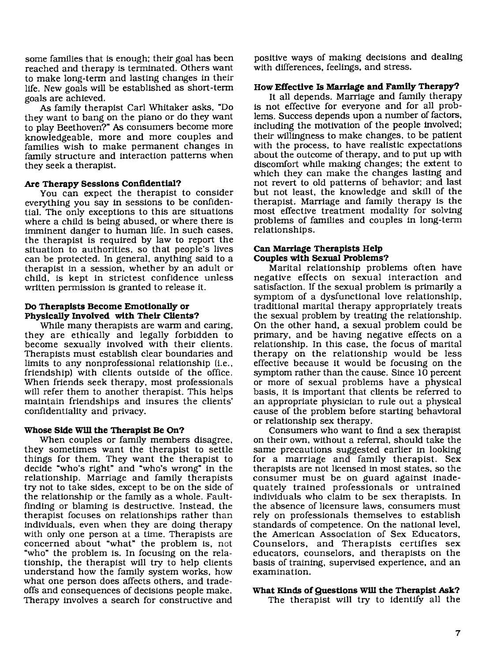some families that is enough: their goal has been reached and therapy is terminated. Others want to make long-term and lasting changes in their life. New goals will be established as short-term goals are achieved.

As family therapist Carl Whitaker asks, "Do they want to bang on the piano or do they want to play Beethoven?" As consumers become more knowledgeable, more and more couples and families wish to make permanent changes in family structure and interaction patterns when they seek a therapist.

## **Are Therapy Sessions Confidential?**

You can expect the therapist to consider everything you say in sessions to be confidential. The only exceptions to this are situations where a child is being abused, or where there is imminent danger to human life. In such cases, the therapist is required by law to report the situation to authorities, so that people's lives can be protected. In general, anything said to a therapist in a session, whether by an adult or child, is kept in strictest confidence unless written permission is granted to release it.

# **Do Therapists Become Emotionally or Physically Involved with Their Clients?**

While many therapists are warm and caring, they are ethically and legally forbidden to become sexually involved with their clients. Therapists must establish clear boundaries and limits to any nonprofessional relationship (*i.e.*, friendship) with clients outside of the office. When friends seek therapy, most professionals will refer them to another therapist. This helps maintain friendships and insures the clients' confidentiality and privacy.

# **Whose Side Wlll the Therapist Be On?**

When couples or family members disagree, they sometimes want the therapist to settle things for them. They want the therapist to decide "who's right" and "who's wrong" in the relationship. Marriage and family therapists try not to take sides, except to be on the side of the relationship or the family as a whole. Faultfinding or blaming is destructive. Instead. the therapist focuses on relationships rather than individuals, even when they are doing therapy with only one person at a time. Therapists are concerned about "what" the problem is, not "who" the problem is. In focusing on the relationship, the therapist will try to help clients understand how the family system works. how what one person does affects others, and tradeoffs and consequences of decisions people make. Therapy involves a search for constructive and positive ways of making decisions and dealing with differences. feelings, and stress.

# **How Effective Is Marriage and Family Therapy?**

It all depends. Marriage and family therapy is not effective for everyone and for all problems. Success depends upon a number of factors, including the motivation of the people involved; their willingness to make changes, to be patient with the process, to have realistic expectations about the outcome of therapy, and to put up with discomfort while making changes: the extent to which they can make the changes lasting and not revert to old patterns of behavior: and last but not least, the knowledge and skill of the therapist. Marriage and family therapy is the most effective treatment modality for solving problems of families and couples in long-term relationships.

## **Can Marriage Therapists Help Couples with Sexual Problems?**

Marital relationship problems often have negative effects on sexual interaction and satisfaction. If the sexual problem is primarily a symptom of a dysfunctional love relationship, traditional marital therapy appropriately treats the sexual problem by treating the relationship. On the other hand, a sexual problem could be primary, and be haVing negative effects on a relationship. In this case, the focus of marital therapy on the relationship would be less effective because it would be focusing on the symptom rather than the cause. Since 10 percent or more of sexual problems have a physical basis, it is important that clients be referred to an appropriate physician to rule out a physical cause of the problem before starting behavioral or relationship sex therapy.

Consumers who want to find a sex therapist on their own, without a referral, should take the same precautions suggested earlier in looking for a marriage and family therapist. Sex therapists are not licensed in most states, so the consumer must be on guard against inadequately trained professionals or untrained individuals who claim to be sex therapists. In the absence of licensure laws, consumers must rely on professionals themselves to establish standards of competence. On the national level, the American Association of Sex Educators, Counselors, and Therapists certifies sex educators, counselors, and therapists on the basis of training, supervised experience, and an examination.

### **What Kinds ofQuestions Wlll the Therapist Ask?**

The therapist will try to identify all the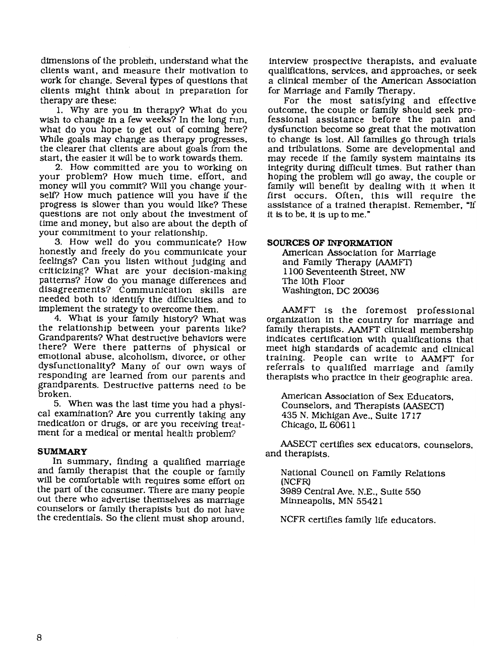dimensions of the problem. understand what the clients want. and measure their motivation to work for change. Several types of questions that clients might think about in preparation for therapy are these:

1. Why are you in therapy? What do you wish to change in a few weeks? In the long run. what do you hope to get out of coming here? While goals may change as therapy progresses. the clearer that clients are about goals from the start. the easier it will be to work towards them.

2. How committed are you to working on your problem? How much time. effort. and money will you commit? Will you change yourself? How much patience will you have if the progress is slower than you would like? These questions are not only about the investment of time and money. but also are about the depth of your commitment to your relationship.

3. How well do you communicate? How honestly and freely do you communicate your feelings? Can you listen without judging and criticizing? What are your decision-making patterns? How do you manage differences and disagreements? Communication skills are needed both to identify the difficulties and to implement the strategy to overcome them.

4. What is your family history? What was the relationship between your parents like? Grandparents? What destructive behaviors were there? Were there patterns of physical or emotional abuse. alcoholism. divorce. or other dysfunctionality? Many of our own ways of responding are learned from our parents and grandparents. Destructive patterns need to be broken.

5. When was the last time you had a physical examination? Are you currently taking any medication or drugs. or are you receiving treatment for a medical or mental health problem?

### **SUMMARY**

In summary. finding a qualified marriage and family therapist that the couple or family will be comfortable with requires some effort on the part of the consumer. There are many people out there who advertise themselves as marriage counselors or family therapists but do not have the credentials. So the client must shop around.

interview prospective therapists. and evaluate qualifications. services. and approaches. or seek a clinical member of the American Association for Marriage and Family Therapy.

For the most satisfying and effective outcome. the couple or family should seek professional assistance before the pain and dysfunction become so great that the motivation to change is lost. All families go through trials and tribulations. Some are developmental and may recede if the family system maintains its integrity during difficult times. But rather than hoping the problem will go away. the couple or family will benefit by dealing with it when it first occurs. Often. this will require the assistance of a trained therapist. Remember. "If it is to be. it is up to me."

# **SOURCES OF INFORMATION**

American Association for Marriage and Family Therapy (AAMFT) 1100 Seventeenth Street. NW The lOth Floor Washington. DC 20036

AAMFT is the foremost professional organization in the country for marriage and family therapists. AAMFT clinical membership indicates certification with qualifications that meet high standards of academic and clinical training. People can write to AAMFT for referrals to qualified marriage and family therapists who practice in their geographic area.

American Association of Sex Educators. Counselors. and Therapists (AASECT) 435 N. Michigan Ave.. Suite 1717 Chicago. IL 60611

AASECT certifies sex educators. counselors. and therapists.

National Council on Family Relations (NCFR) 3989 Central Ave. N.E.• Suite 550 Minneapolis. MN 55421

NCFR certifies family life educators.